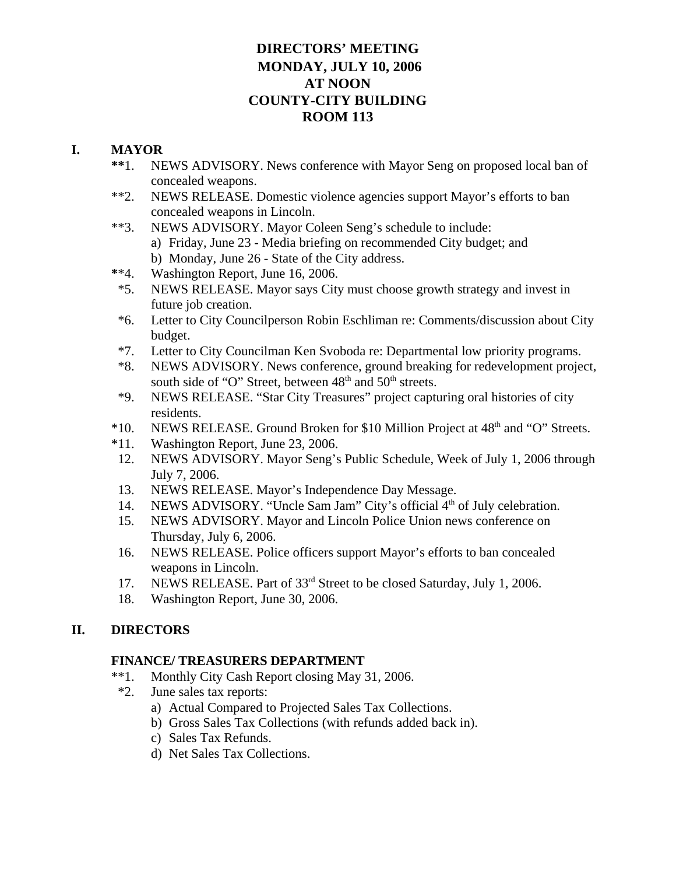# **DIRECTORS' MEETING MONDAY, JULY 10, 2006 AT NOON COUNTY-CITY BUILDING ROOM 113**

# **I. MAYOR**

- **\*\***1. NEWS ADVISORY. News conference with Mayor Seng on proposed local ban of concealed weapons.
- \*\*2. NEWS RELEASE. Domestic violence agencies support Mayor's efforts to ban concealed weapons in Lincoln.
- \*\*3. NEWS ADVISORY. Mayor Coleen Seng's schedule to include:
	- a) Friday, June 23 Media briefing on recommended City budget; and
	- b) Monday, June 26 State of the City address.
- **\***\*4. Washington Report, June 16, 2006.
- \*5. NEWS RELEASE. Mayor says City must choose growth strategy and invest in future job creation.
- \*6. Letter to City Councilperson Robin Eschliman re: Comments/discussion about City budget.
- \*7. Letter to City Councilman Ken Svoboda re: Departmental low priority programs.
- \*8. NEWS ADVISORY. News conference, ground breaking for redevelopment project, south side of "O" Street, between  $48<sup>th</sup>$  and  $50<sup>th</sup>$  streets.
- \*9. NEWS RELEASE. "Star City Treasures" project capturing oral histories of city residents.
- \*10. NEWS RELEASE. Ground Broken for \$10 Million Project at 48th and "O" Streets.
- \*11. Washington Report, June 23, 2006.
- 12. NEWS ADVISORY. Mayor Seng's Public Schedule, Week of July 1, 2006 through July 7, 2006.
- 13. NEWS RELEASE. Mayor's Independence Day Message.
- 14. NEWS ADVISORY. "Uncle Sam Jam" City's official 4<sup>th</sup> of July celebration.
- 15. NEWS ADVISORY. Mayor and Lincoln Police Union news conference on Thursday, July 6, 2006.
- 16. NEWS RELEASE. Police officers support Mayor's efforts to ban concealed weapons in Lincoln.
- 17. NEWS RELEASE. Part of 33rd Street to be closed Saturday, July 1, 2006.
- 18. Washington Report, June 30, 2006.

# **II. DIRECTORS**

# **FINANCE/ TREASURERS DEPARTMENT**

- \*\*1. Monthly City Cash Report closing May 31, 2006.
- \*2. June sales tax reports:
	- a) Actual Compared to Projected Sales Tax Collections.
	- b) Gross Sales Tax Collections (with refunds added back in).
	- c) Sales Tax Refunds.
	- d) Net Sales Tax Collections.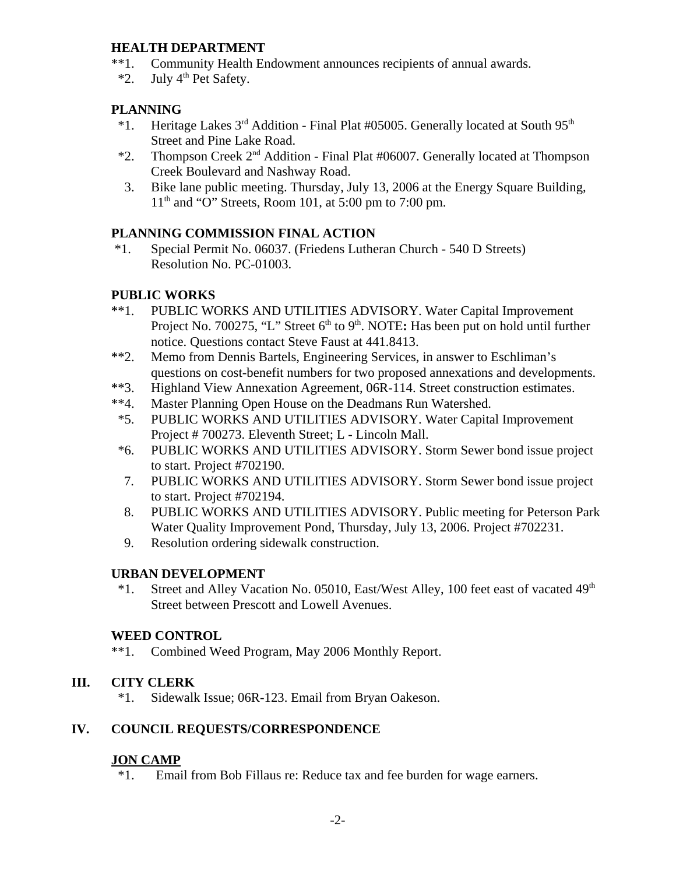# **HEALTH DEPARTMENT**

- \*\*1. Community Health Endowment announces recipients of annual awards.
- $*2$ . July 4<sup>th</sup> Pet Safety.

# **PLANNING**

- \*1. Heritage Lakes  $3<sup>rd</sup>$  Addition Final Plat #05005. Generally located at South 95<sup>th</sup> Street and Pine Lake Road.
- \*2. Thompson Creek 2nd Addition Final Plat #06007. Generally located at Thompson Creek Boulevard and Nashway Road.
- 3. Bike lane public meeting. Thursday, July 13, 2006 at the Energy Square Building,  $11<sup>th</sup>$  and "O" Streets, Room 101, at 5:00 pm to 7:00 pm.

# **PLANNING COMMISSION FINAL ACTION**

 \*1. Special Permit No. 06037. (Friedens Lutheran Church - 540 D Streets) Resolution No. PC-01003.

#### **PUBLIC WORKS**

- \*\*1. PUBLIC WORKS AND UTILITIES ADVISORY. Water Capital Improvement Project No. 700275, "L" Street 6<sup>th</sup> to 9<sup>th</sup>. NOTE: Has been put on hold until further notice. Questions contact Steve Faust at 441.8413.
- \*\*2. Memo from Dennis Bartels, Engineering Services, in answer to Eschliman's questions on cost-benefit numbers for two proposed annexations and developments.
- \*\*3. Highland View Annexation Agreement, 06R-114. Street construction estimates.
- \*\*4. Master Planning Open House on the Deadmans Run Watershed.
- \*5. PUBLIC WORKS AND UTILITIES ADVISORY. Water Capital Improvement Project # 700273. Eleventh Street; L - Lincoln Mall.
- \*6. PUBLIC WORKS AND UTILITIES ADVISORY. Storm Sewer bond issue project to start. Project #702190.
- 7. PUBLIC WORKS AND UTILITIES ADVISORY. Storm Sewer bond issue project to start. Project #702194.
- 8. PUBLIC WORKS AND UTILITIES ADVISORY. Public meeting for Peterson Park Water Quality Improvement Pond, Thursday, July 13, 2006. Project #702231.
- 9. Resolution ordering sidewalk construction.

# **URBAN DEVELOPMENT**

 \*1. Street and Alley Vacation No. 05010, East/West Alley, 100 feet east of vacated 49th Street between Prescott and Lowell Avenues.

#### **WEED CONTROL**

\*\*1. Combined Weed Program, May 2006 Monthly Report.

# **III. CITY CLERK**

\*1. Sidewalk Issue; 06R-123. Email from Bryan Oakeson.

# **IV. COUNCIL REQUESTS/CORRESPONDENCE**

# **JON CAMP**

\*1. Email from Bob Fillaus re: Reduce tax and fee burden for wage earners.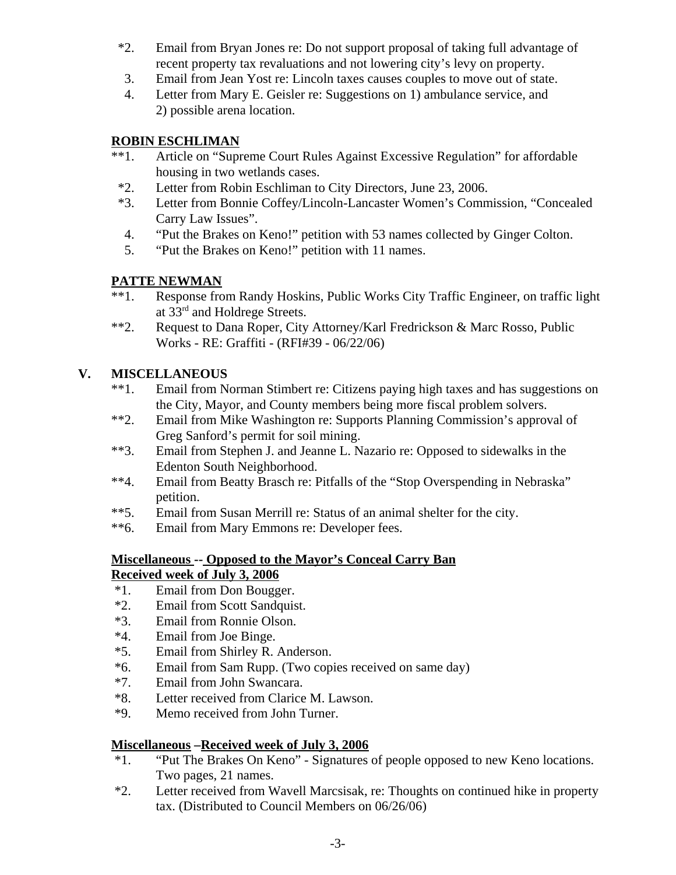- \*2. Email from Bryan Jones re: Do not support proposal of taking full advantage of recent property tax revaluations and not lowering city's levy on property.
- 3. Email from Jean Yost re: Lincoln taxes causes couples to move out of state.
- 4. Letter from Mary E. Geisler re: Suggestions on 1) ambulance service, and 2) possible arena location.

# **ROBIN ESCHLIMAN**

- \*\*1. Article on "Supreme Court Rules Against Excessive Regulation" for affordable housing in two wetlands cases.
- \*2. Letter from Robin Eschliman to City Directors, June 23, 2006.
- \*3. Letter from Bonnie Coffey/Lincoln-Lancaster Women's Commission, "Concealed Carry Law Issues".
- 4. "Put the Brakes on Keno!" petition with 53 names collected by Ginger Colton.
- 5. "Put the Brakes on Keno!" petition with 11 names.

# **PATTE NEWMAN**

- \*\*1. Response from Randy Hoskins, Public Works City Traffic Engineer, on traffic light at 33rd and Holdrege Streets.
- \*\*2. Request to Dana Roper, City Attorney/Karl Fredrickson & Marc Rosso, Public Works - RE: Graffiti - (RFI#39 - 06/22/06)

# **V. MISCELLANEOUS**

- \*\*1. Email from Norman Stimbert re: Citizens paying high taxes and has suggestions on the City, Mayor, and County members being more fiscal problem solvers.
- \*\*2. Email from Mike Washington re: Supports Planning Commission's approval of Greg Sanford's permit for soil mining.
- \*\*3. Email from Stephen J. and Jeanne L. Nazario re: Opposed to sidewalks in the Edenton South Neighborhood.
- \*\*4. Email from Beatty Brasch re: Pitfalls of the "Stop Overspending in Nebraska" petition.
- \*\*5. Email from Susan Merrill re: Status of an animal shelter for the city.
- \*\*6. Email from Mary Emmons re: Developer fees.

# **Miscellaneous -- Opposed to the Mayor's Conceal Carry Ban Received week of July 3, 2006**

- \*1. Email from Don Bougger.
- \*2. Email from Scott Sandquist.
- \*3. Email from Ronnie Olson.
- \*4. Email from Joe Binge.
- \*5. Email from Shirley R. Anderson.
- \*6. Email from Sam Rupp. (Two copies received on same day)
- \*7. Email from John Swancara.
- \*8. Letter received from Clarice M. Lawson.
- \*9. Memo received from John Turner.

# **Miscellaneous –Received week of July 3, 2006**

- \*1. "Put The Brakes On Keno" Signatures of people opposed to new Keno locations. Two pages, 21 names.
- \*2. Letter received from Wavell Marcsisak, re: Thoughts on continued hike in property tax. (Distributed to Council Members on 06/26/06)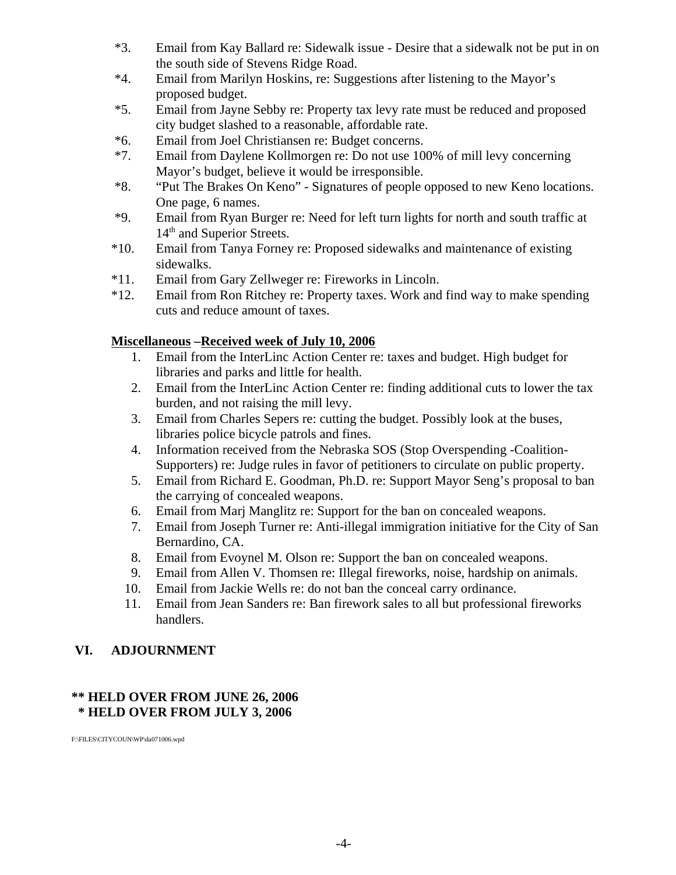- \*3. Email from Kay Ballard re: Sidewalk issue Desire that a sidewalk not be put in on the south side of Stevens Ridge Road.
- \*4. Email from Marilyn Hoskins, re: Suggestions after listening to the Mayor's proposed budget.
- \*5. Email from Jayne Sebby re: Property tax levy rate must be reduced and proposed city budget slashed to a reasonable, affordable rate.
- \*6. Email from Joel Christiansen re: Budget concerns.
- \*7. Email from Daylene Kollmorgen re: Do not use 100% of mill levy concerning Mayor's budget, believe it would be irresponsible.
- \*8. "Put The Brakes On Keno" Signatures of people opposed to new Keno locations. One page, 6 names.
- \*9. Email from Ryan Burger re: Need for left turn lights for north and south traffic at 14<sup>th</sup> and Superior Streets.
- \*10. Email from Tanya Forney re: Proposed sidewalks and maintenance of existing sidewalks.
- \*11. Email from Gary Zellweger re: Fireworks in Lincoln.
- \*12. Email from Ron Ritchey re: Property taxes. Work and find way to make spending cuts and reduce amount of taxes.

#### **Miscellaneous –Received week of July 10, 2006**

- 1. Email from the InterLinc Action Center re: taxes and budget. High budget for libraries and parks and little for health.
- 2. Email from the InterLinc Action Center re: finding additional cuts to lower the tax burden, and not raising the mill levy.
- 3. Email from Charles Sepers re: cutting the budget. Possibly look at the buses, libraries police bicycle patrols and fines.
- 4. Information received from the Nebraska SOS (Stop Overspending -Coalition-Supporters) re: Judge rules in favor of petitioners to circulate on public property.
- 5. Email from Richard E. Goodman, Ph.D. re: Support Mayor Seng's proposal to ban the carrying of concealed weapons.
- 6. Email from Marj Manglitz re: Support for the ban on concealed weapons.
- 7. Email from Joseph Turner re: Anti-illegal immigration initiative for the City of San Bernardino, CA.
- 8. Email from Evoynel M. Olson re: Support the ban on concealed weapons.
- 9. Email from Allen V. Thomsen re: Illegal fireworks, noise, hardship on animals.
- 10. Email from Jackie Wells re: do not ban the conceal carry ordinance.
- 11. Email from Jean Sanders re: Ban firework sales to all but professional fireworks handlers.

# **VI. ADJOURNMENT**

# **\*\* HELD OVER FROM JUNE 26, 2006 \* HELD OVER FROM JULY 3, 2006**

F:\FILES\CITYCOUN\WP\da071006.wpd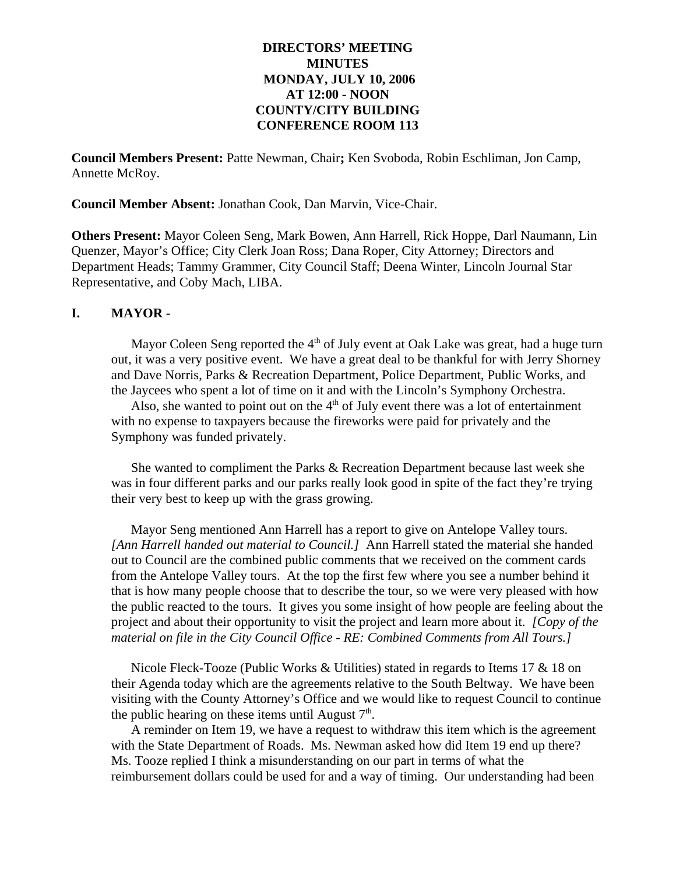#### **DIRECTORS' MEETING MINUTES MONDAY, JULY 10, 2006 AT 12:00 - NOON COUNTY/CITY BUILDING CONFERENCE ROOM 113**

**Council Members Present:** Patte Newman, Chair**;** Ken Svoboda, Robin Eschliman, Jon Camp, Annette McRoy.

**Council Member Absent:** Jonathan Cook, Dan Marvin, Vice-Chair.

**Others Present:** Mayor Coleen Seng, Mark Bowen, Ann Harrell, Rick Hoppe, Darl Naumann, Lin Quenzer, Mayor's Office; City Clerk Joan Ross; Dana Roper, City Attorney; Directors and Department Heads; Tammy Grammer, City Council Staff; Deena Winter, Lincoln Journal Star Representative, and Coby Mach, LIBA.

#### **I. MAYOR -**

Mayor Coleen Seng reported the  $4<sup>th</sup>$  of July event at Oak Lake was great, had a huge turn out, it was a very positive event. We have a great deal to be thankful for with Jerry Shorney and Dave Norris, Parks & Recreation Department, Police Department, Public Works, and the Jaycees who spent a lot of time on it and with the Lincoln's Symphony Orchestra.

Also, she wanted to point out on the  $4<sup>th</sup>$  of July event there was a lot of entertainment with no expense to taxpayers because the fireworks were paid for privately and the Symphony was funded privately.

She wanted to compliment the Parks & Recreation Department because last week she was in four different parks and our parks really look good in spite of the fact they're trying their very best to keep up with the grass growing.

Mayor Seng mentioned Ann Harrell has a report to give on Antelope Valley tours. *[Ann Harrell handed out material to Council.]* Ann Harrell stated the material she handed out to Council are the combined public comments that we received on the comment cards from the Antelope Valley tours. At the top the first few where you see a number behind it that is how many people choose that to describe the tour, so we were very pleased with how the public reacted to the tours. It gives you some insight of how people are feeling about the project and about their opportunity to visit the project and learn more about it. *[Copy of the material on file in the City Council Office - RE: Combined Comments from All Tours.]* 

Nicole Fleck-Tooze (Public Works & Utilities) stated in regards to Items 17 & 18 on their Agenda today which are the agreements relative to the South Beltway. We have been visiting with the County Attorney's Office and we would like to request Council to continue the public hearing on these items until August  $7<sup>th</sup>$ .

A reminder on Item 19, we have a request to withdraw this item which is the agreement with the State Department of Roads. Ms. Newman asked how did Item 19 end up there? Ms. Tooze replied I think a misunderstanding on our part in terms of what the reimbursement dollars could be used for and a way of timing. Our understanding had been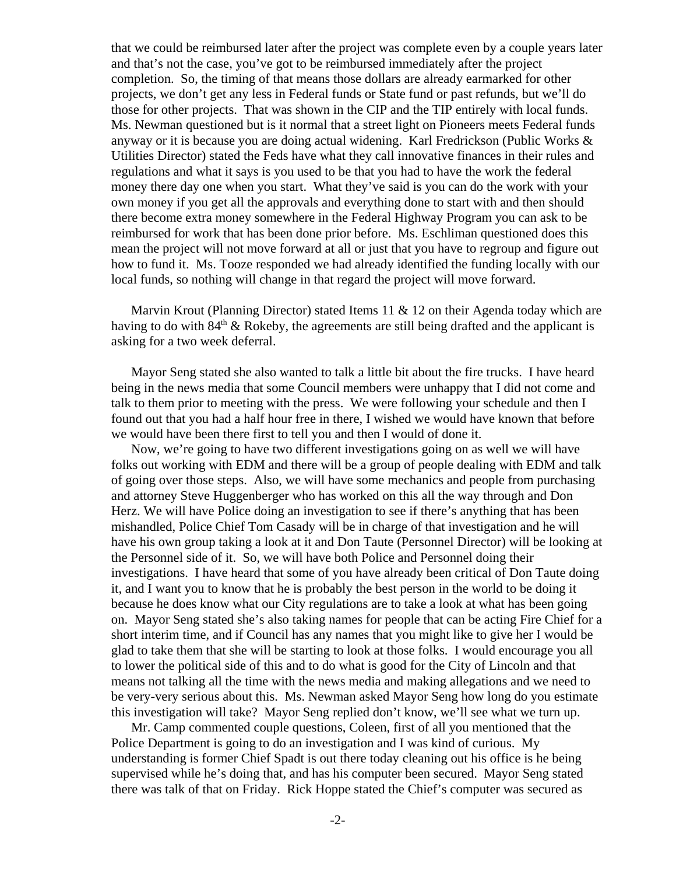that we could be reimbursed later after the project was complete even by a couple years later and that's not the case, you've got to be reimbursed immediately after the project completion. So, the timing of that means those dollars are already earmarked for other projects, we don't get any less in Federal funds or State fund or past refunds, but we'll do those for other projects. That was shown in the CIP and the TIP entirely with local funds. Ms. Newman questioned but is it normal that a street light on Pioneers meets Federal funds anyway or it is because you are doing actual widening. Karl Fredrickson (Public Works & Utilities Director) stated the Feds have what they call innovative finances in their rules and regulations and what it says is you used to be that you had to have the work the federal money there day one when you start. What they've said is you can do the work with your own money if you get all the approvals and everything done to start with and then should there become extra money somewhere in the Federal Highway Program you can ask to be reimbursed for work that has been done prior before. Ms. Eschliman questioned does this mean the project will not move forward at all or just that you have to regroup and figure out how to fund it. Ms. Tooze responded we had already identified the funding locally with our local funds, so nothing will change in that regard the project will move forward.

Marvin Krout (Planning Director) stated Items 11 & 12 on their Agenda today which are having to do with  $84<sup>th</sup>$  & Rokeby, the agreements are still being drafted and the applicant is asking for a two week deferral.

Mayor Seng stated she also wanted to talk a little bit about the fire trucks. I have heard being in the news media that some Council members were unhappy that I did not come and talk to them prior to meeting with the press. We were following your schedule and then I found out that you had a half hour free in there, I wished we would have known that before we would have been there first to tell you and then I would of done it.

Now, we're going to have two different investigations going on as well we will have folks out working with EDM and there will be a group of people dealing with EDM and talk of going over those steps. Also, we will have some mechanics and people from purchasing and attorney Steve Huggenberger who has worked on this all the way through and Don Herz. We will have Police doing an investigation to see if there's anything that has been mishandled, Police Chief Tom Casady will be in charge of that investigation and he will have his own group taking a look at it and Don Taute (Personnel Director) will be looking at the Personnel side of it. So, we will have both Police and Personnel doing their investigations. I have heard that some of you have already been critical of Don Taute doing it, and I want you to know that he is probably the best person in the world to be doing it because he does know what our City regulations are to take a look at what has been going on. Mayor Seng stated she's also taking names for people that can be acting Fire Chief for a short interim time, and if Council has any names that you might like to give her I would be glad to take them that she will be starting to look at those folks. I would encourage you all to lower the political side of this and to do what is good for the City of Lincoln and that means not talking all the time with the news media and making allegations and we need to be very-very serious about this. Ms. Newman asked Mayor Seng how long do you estimate this investigation will take? Mayor Seng replied don't know, we'll see what we turn up.

Mr. Camp commented couple questions, Coleen, first of all you mentioned that the Police Department is going to do an investigation and I was kind of curious. My understanding is former Chief Spadt is out there today cleaning out his office is he being supervised while he's doing that, and has his computer been secured. Mayor Seng stated there was talk of that on Friday. Rick Hoppe stated the Chief's computer was secured as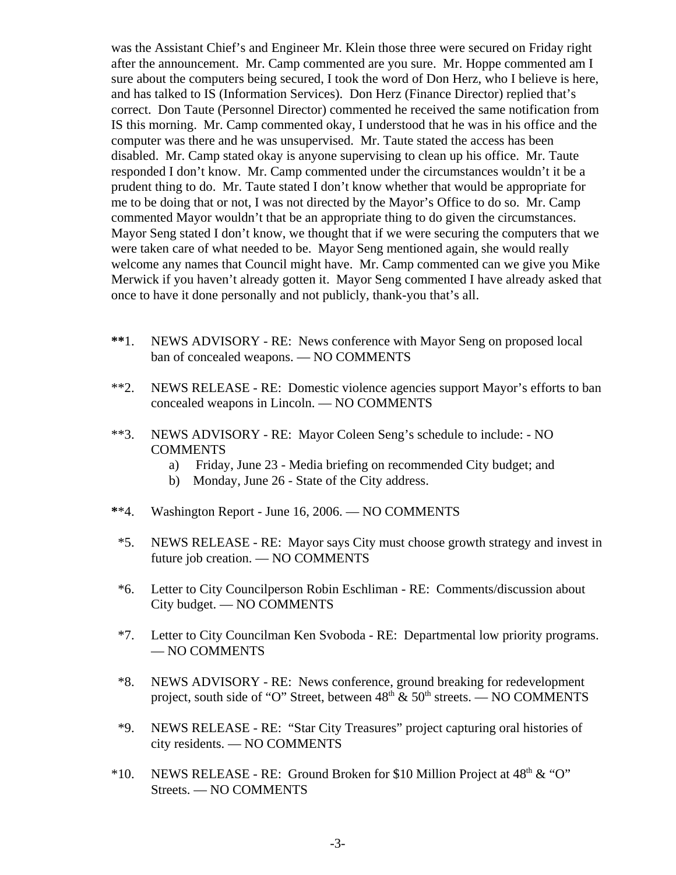was the Assistant Chief's and Engineer Mr. Klein those three were secured on Friday right after the announcement. Mr. Camp commented are you sure. Mr. Hoppe commented am I sure about the computers being secured, I took the word of Don Herz, who I believe is here, and has talked to IS (Information Services). Don Herz (Finance Director) replied that's correct. Don Taute (Personnel Director) commented he received the same notification from IS this morning. Mr. Camp commented okay, I understood that he was in his office and the computer was there and he was unsupervised. Mr. Taute stated the access has been disabled. Mr. Camp stated okay is anyone supervising to clean up his office. Mr. Taute responded I don't know. Mr. Camp commented under the circumstances wouldn't it be a prudent thing to do. Mr. Taute stated I don't know whether that would be appropriate for me to be doing that or not, I was not directed by the Mayor's Office to do so. Mr. Camp commented Mayor wouldn't that be an appropriate thing to do given the circumstances. Mayor Seng stated I don't know, we thought that if we were securing the computers that we were taken care of what needed to be. Mayor Seng mentioned again, she would really welcome any names that Council might have. Mr. Camp commented can we give you Mike Merwick if you haven't already gotten it. Mayor Seng commented I have already asked that once to have it done personally and not publicly, thank-you that's all.

- **\*\***1. NEWS ADVISORY RE: News conference with Mayor Seng on proposed local ban of concealed weapons. — NO COMMENTS
- \*\*2. NEWS RELEASE RE: Domestic violence agencies support Mayor's efforts to ban concealed weapons in Lincoln. — NO COMMENTS
- \*\*3. NEWS ADVISORY RE: Mayor Coleen Seng's schedule to include: NO **COMMENTS** 
	- a) Friday, June 23 Media briefing on recommended City budget; and
	- b) Monday, June 26 State of the City address.
- **\***\*4. Washington Report June 16, 2006. NO COMMENTS
- \*5. NEWS RELEASE RE: Mayor says City must choose growth strategy and invest in future job creation. — NO COMMENTS
- \*6. Letter to City Councilperson Robin Eschliman RE: Comments/discussion about City budget. — NO COMMENTS
- \*7. Letter to City Councilman Ken Svoboda RE: Departmental low priority programs. — NO COMMENTS
- \*8. NEWS ADVISORY RE: News conference, ground breaking for redevelopment project, south side of "O" Street, between  $48<sup>th</sup> \& 50<sup>th</sup>$  streets. — NO COMMENTS
- \*9. NEWS RELEASE RE: "Star City Treasures" project capturing oral histories of city residents. — NO COMMENTS
- \*10. NEWS RELEASE RE: Ground Broken for \$10 Million Project at  $48<sup>th</sup> \& ^{\circ}$ °C' Streets. — NO COMMENTS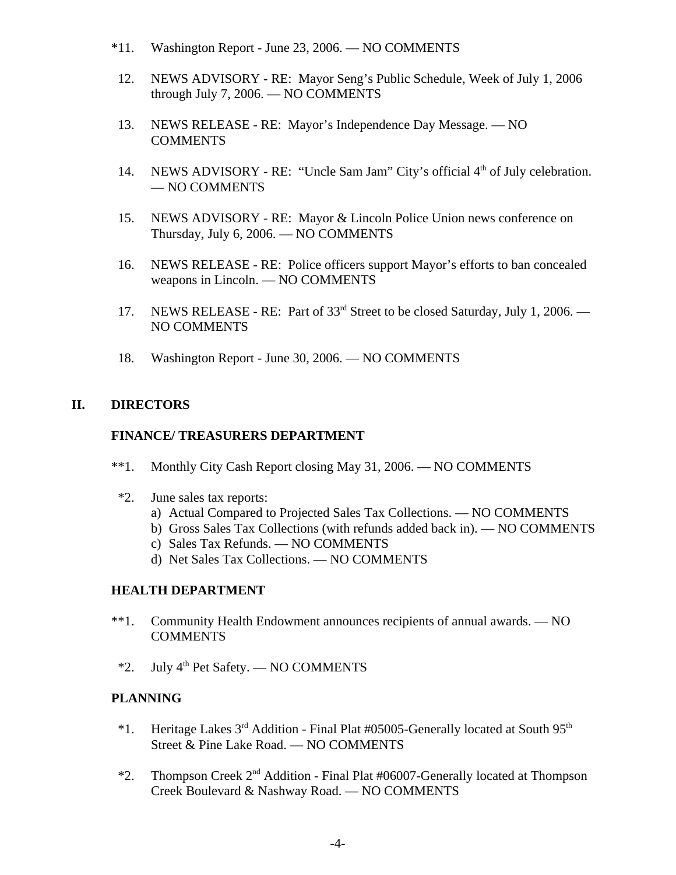- \*11. Washington Report June 23, 2006. NO COMMENTS
- 12. NEWS ADVISORY RE: Mayor Seng's Public Schedule, Week of July 1, 2006 through July 7, 2006. — NO COMMENTS
- 13. NEWS RELEASE RE: Mayor's Independence Day Message. NO **COMMENTS**
- 14. NEWS ADVISORY RE: "Uncle Sam Jam" City's official 4<sup>th</sup> of July celebration. **—** NO COMMENTS
- 15. NEWS ADVISORY RE: Mayor & Lincoln Police Union news conference on Thursday, July 6, 2006. — NO COMMENTS
- 16. NEWS RELEASE RE: Police officers support Mayor's efforts to ban concealed weapons in Lincoln. — NO COMMENTS
- 17. NEWS RELEASE RE: Part of 33rd Street to be closed Saturday, July 1, 2006. NO COMMENTS
- 18. Washington Report June 30, 2006. NO COMMENTS

# **II. DIRECTORS**

#### **FINANCE/ TREASURERS DEPARTMENT**

- \*\*1. Monthly City Cash Report closing May 31, 2006. NO COMMENTS
- \*2. June sales tax reports:
	- a) Actual Compared to Projected Sales Tax Collections. NO COMMENTS
	- b) Gross Sales Tax Collections (with refunds added back in). NO COMMENTS
	- c) Sales Tax Refunds. NO COMMENTS
	- d) Net Sales Tax Collections. NO COMMENTS

# **HEALTH DEPARTMENT**

- \*\*1. Community Health Endowment announces recipients of annual awards. NO COMMENTS
- $*2.$  July 4<sup>th</sup> Pet Safety. NO COMMENTS

# **PLANNING**

- $*1.$  Heritage Lakes 3<sup>rd</sup> Addition Final Plat #05005-Generally located at South 95<sup>th</sup> Street & Pine Lake Road. — NO COMMENTS
- $*2$ . Thompson Creek  $2<sup>nd</sup>$  Addition Final Plat #06007-Generally located at Thompson Creek Boulevard & Nashway Road. — NO COMMENTS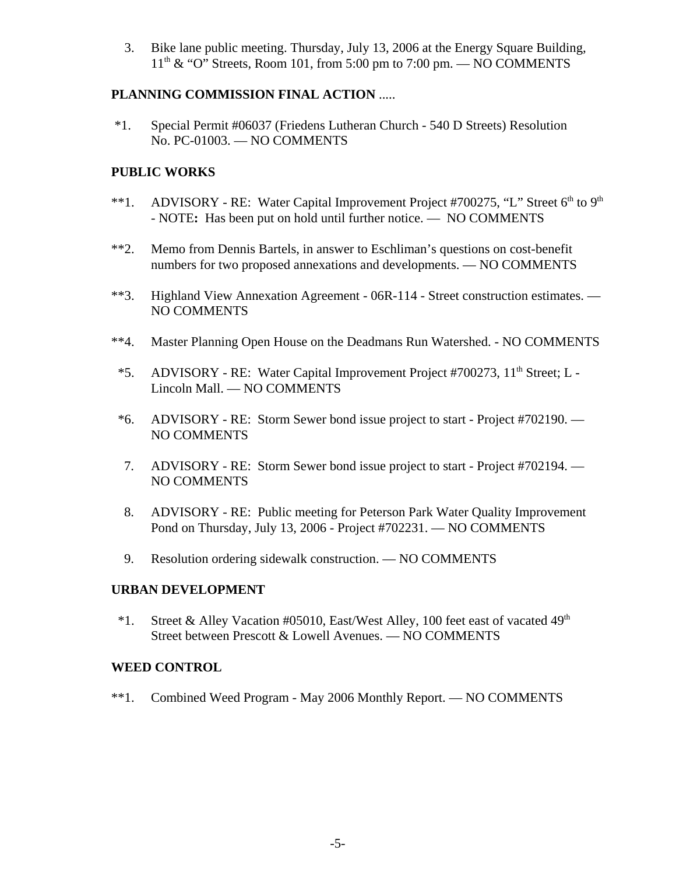3. Bike lane public meeting. Thursday, July 13, 2006 at the Energy Square Building,  $11<sup>th</sup>$  & "O" Streets, Room 101, from 5:00 pm to 7:00 pm. — NO COMMENTS

# **PLANNING COMMISSION FINAL ACTION** .....

 \*1. Special Permit #06037 (Friedens Lutheran Church - 540 D Streets) Resolution No. PC-01003. — NO COMMENTS

# **PUBLIC WORKS**

- \*\*1. ADVISORY RE: Water Capital Improvement Project #700275, "L" Street  $6<sup>th</sup>$  to  $9<sup>th</sup>$ - NOTE**:** Has been put on hold until further notice. — NO COMMENTS
- \*\*2. Memo from Dennis Bartels, in answer to Eschliman's questions on cost-benefit numbers for two proposed annexations and developments. — NO COMMENTS
- \*\*3. Highland View Annexation Agreement 06R-114 Street construction estimates. NO COMMENTS
- \*\*4. Master Planning Open House on the Deadmans Run Watershed. NO COMMENTS
- <sup>\*5.</sup> ADVISORY RE: Water Capital Improvement Project #700273, 11<sup>th</sup> Street; L -Lincoln Mall. — NO COMMENTS
- \*6. ADVISORY RE: Storm Sewer bond issue project to start Project #702190. NO COMMENTS
- 7. ADVISORY RE: Storm Sewer bond issue project to start Project #702194. NO COMMENTS
- 8. ADVISORY RE: Public meeting for Peterson Park Water Quality Improvement Pond on Thursday, July 13, 2006 - Project #702231. — NO COMMENTS
- 9. Resolution ordering sidewalk construction. NO COMMENTS

# **URBAN DEVELOPMENT**

\*1. Street & Alley Vacation #05010, East/West Alley, 100 feet east of vacated  $49<sup>th</sup>$ Street between Prescott & Lowell Avenues. — NO COMMENTS

# **WEED CONTROL**

\*\*1. Combined Weed Program - May 2006 Monthly Report. — NO COMMENTS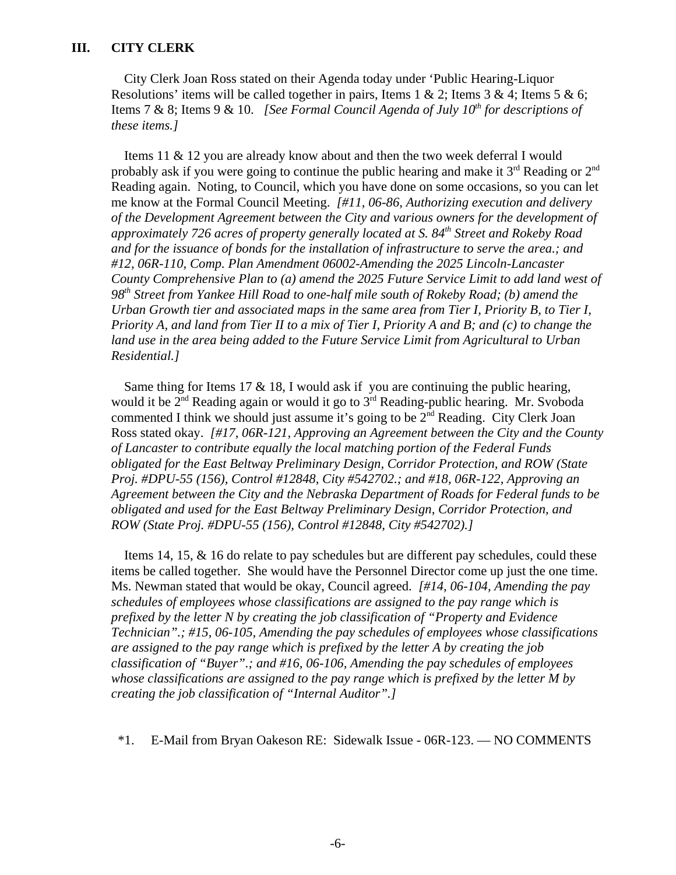City Clerk Joan Ross stated on their Agenda today under 'Public Hearing-Liquor Resolutions' items will be called together in pairs, Items 1 & 2; Items 3 & 4; Items 5 & 6; Items 7 & 8; Items 9 & 10. *[See Formal Council Agenda of July 10<sup>th</sup> for descriptions of these items.]* 

Items 11 & 12 you are already know about and then the two week deferral I would probably ask if you were going to continue the public hearing and make it  $3<sup>rd</sup>$  Reading or  $2<sup>nd</sup>$ Reading again. Noting, to Council, which you have done on some occasions, so you can let me know at the Formal Council Meeting. *[#11, 06-86, Authorizing execution and delivery of the Development Agreement between the City and various owners for the development of approximately 726 acres of property generally located at S. 84th Street and Rokeby Road and for the issuance of bonds for the installation of infrastructure to serve the area.; and #12, 06R-110, Comp. Plan Amendment 06002-Amending the 2025 Lincoln-Lancaster County Comprehensive Plan to (a) amend the 2025 Future Service Limit to add land west of 98th Street from Yankee Hill Road to one-half mile south of Rokeby Road; (b) amend the Urban Growth tier and associated maps in the same area from Tier I, Priority B, to Tier I, Priority A, and land from Tier II to a mix of Tier I, Priority A and B; and (c) to change the land use in the area being added to the Future Service Limit from Agricultural to Urban Residential.]* 

Same thing for Items 17  $\&$  18, I would ask if you are continuing the public hearing, would it be  $2<sup>nd</sup>$  Reading again or would it go to  $3<sup>rd</sup>$  Reading-public hearing. Mr. Svoboda commented I think we should just assume it's going to be  $2<sup>nd</sup>$  Reading. City Clerk Joan Ross stated okay. *[#17, 06R-121, Approving an Agreement between the City and the County of Lancaster to contribute equally the local matching portion of the Federal Funds obligated for the East Beltway Preliminary Design, Corridor Protection, and ROW (State Proj. #DPU-55 (156), Control #12848, City #542702.; and #18, 06R-122, Approving an Agreement between the City and the Nebraska Department of Roads for Federal funds to be obligated and used for the East Beltway Preliminary Design, Corridor Protection, and ROW (State Proj. #DPU-55 (156), Control #12848, City #542702).]* 

Items 14, 15, & 16 do relate to pay schedules but are different pay schedules, could these items be called together. She would have the Personnel Director come up just the one time. Ms. Newman stated that would be okay, Council agreed. *[#14, 06-104, Amending the pay schedules of employees whose classifications are assigned to the pay range which is prefixed by the letter N by creating the job classification of "Property and Evidence Technician".; #15, 06-105, Amending the pay schedules of employees whose classifications are assigned to the pay range which is prefixed by the letter A by creating the job classification of "Buyer".; and #16, 06-106, Amending the pay schedules of employees whose classifications are assigned to the pay range which is prefixed by the letter M by creating the job classification of "Internal Auditor".]* 

\*1. E-Mail from Bryan Oakeson RE: Sidewalk Issue - 06R-123. — NO COMMENTS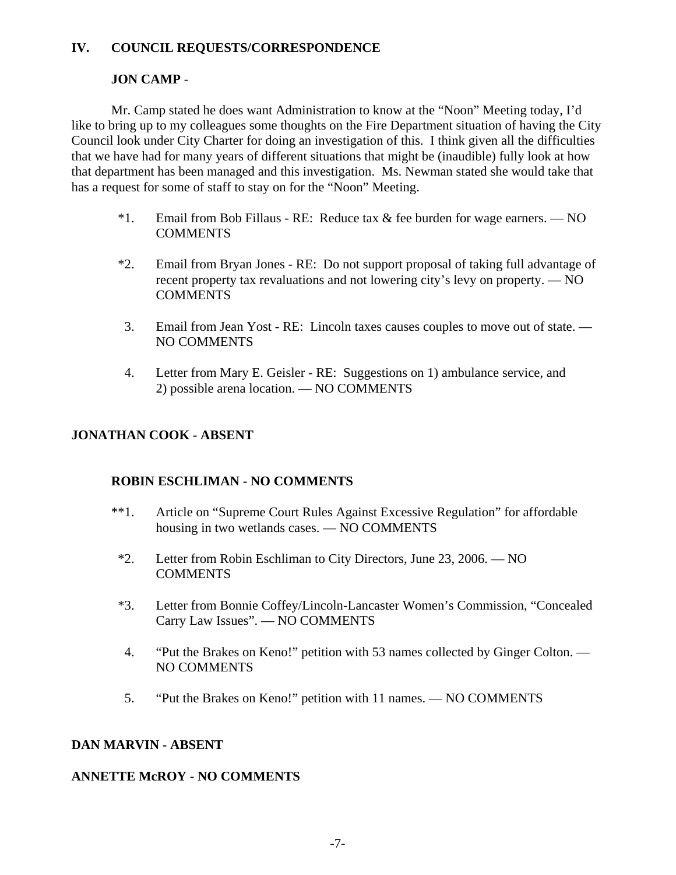# **IV. COUNCIL REQUESTS/CORRESPONDENCE**

# **JON CAMP** -

Mr. Camp stated he does want Administration to know at the "Noon" Meeting today, I'd like to bring up to my colleagues some thoughts on the Fire Department situation of having the City Council look under City Charter for doing an investigation of this. I think given all the difficulties that we have had for many years of different situations that might be (inaudible) fully look at how that department has been managed and this investigation. Ms. Newman stated she would take that has a request for some of staff to stay on for the "Noon" Meeting.

- \*1. Email from Bob Fillaus RE: Reduce tax  $\&$  fee burden for wage earners. NO COMMENTS
- \*2. Email from Bryan Jones RE: Do not support proposal of taking full advantage of recent property tax revaluations and not lowering city's levy on property. — NO COMMENTS
- 3. Email from Jean Yost RE: Lincoln taxes causes couples to move out of state. NO COMMENTS
- 4. Letter from Mary E. Geisler RE: Suggestions on 1) ambulance service, and 2) possible arena location. — NO COMMENTS

# **JONATHAN COOK - ABSENT**

# **ROBIN ESCHLIMAN - NO COMMENTS**

- \*\*1. Article on "Supreme Court Rules Against Excessive Regulation" for affordable housing in two wetlands cases. — NO COMMENTS
- \*2. Letter from Robin Eschliman to City Directors, June 23, 2006. NO COMMENTS
- \*3. Letter from Bonnie Coffey/Lincoln-Lancaster Women's Commission, "Concealed Carry Law Issues". — NO COMMENTS
- 4. "Put the Brakes on Keno!" petition with 53 names collected by Ginger Colton. NO COMMENTS
- 5. "Put the Brakes on Keno!" petition with 11 names. NO COMMENTS

#### **DAN MARVIN - ABSENT**

# **ANNETTE McROY - NO COMMENTS**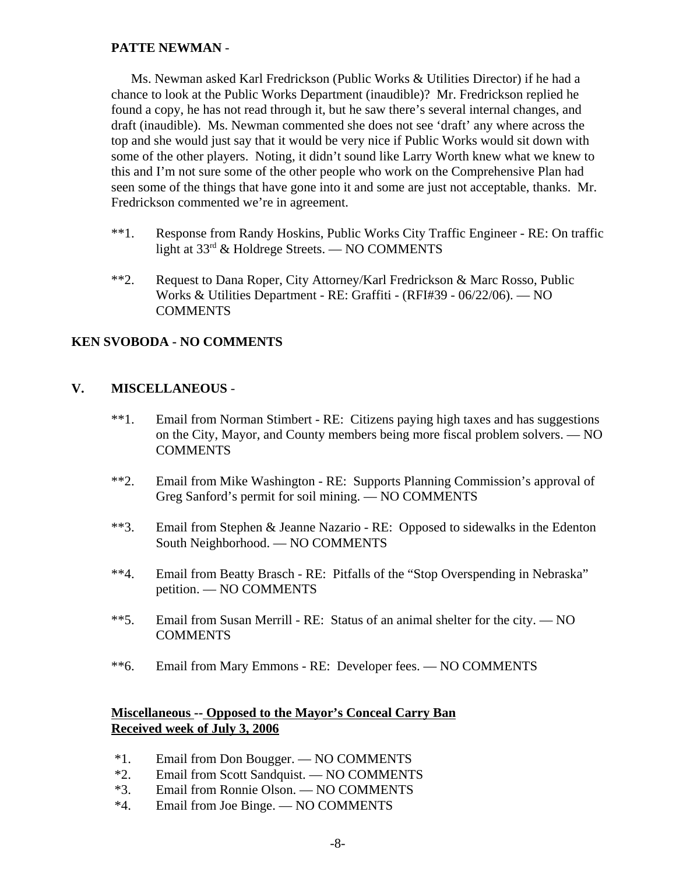# **PATTE NEWMAN** -

Ms. Newman asked Karl Fredrickson (Public Works & Utilities Director) if he had a chance to look at the Public Works Department (inaudible)? Mr. Fredrickson replied he found a copy, he has not read through it, but he saw there's several internal changes, and draft (inaudible). Ms. Newman commented she does not see 'draft' any where across the top and she would just say that it would be very nice if Public Works would sit down with some of the other players. Noting, it didn't sound like Larry Worth knew what we knew to this and I'm not sure some of the other people who work on the Comprehensive Plan had seen some of the things that have gone into it and some are just not acceptable, thanks. Mr. Fredrickson commented we're in agreement.

- \*\*1. Response from Randy Hoskins, Public Works City Traffic Engineer RE: On traffic light at  $33<sup>rd</sup>$  & Holdrege Streets. — NO COMMENTS
- \*\*2. Request to Dana Roper, City Attorney/Karl Fredrickson & Marc Rosso, Public Works & Utilities Department - RE: Graffiti - (RFI#39 - 06/22/06). — NO **COMMENTS**

#### **KEN SVOBODA - NO COMMENTS**

#### **V. MISCELLANEOUS** -

- \*\*1. Email from Norman Stimbert RE: Citizens paying high taxes and has suggestions on the City, Mayor, and County members being more fiscal problem solvers. — NO **COMMENTS**
- \*\*2. Email from Mike Washington RE: Supports Planning Commission's approval of Greg Sanford's permit for soil mining. — NO COMMENTS
- \*\*3. Email from Stephen & Jeanne Nazario RE: Opposed to sidewalks in the Edenton South Neighborhood. — NO COMMENTS
- \*\*4. Email from Beatty Brasch RE: Pitfalls of the "Stop Overspending in Nebraska" petition. — NO COMMENTS
- \*\*5. Email from Susan Merrill RE: Status of an animal shelter for the city. NO **COMMENTS**
- \*\*6. Email from Mary Emmons RE: Developer fees. NO COMMENTS

#### **Miscellaneous -- Opposed to the Mayor's Conceal Carry Ban Received week of July 3, 2006**

- \*1. Email from Don Bougger. NO COMMENTS
- \*2. Email from Scott Sandquist. NO COMMENTS
- \*3. Email from Ronnie Olson. NO COMMENTS
- \*4. Email from Joe Binge. NO COMMENTS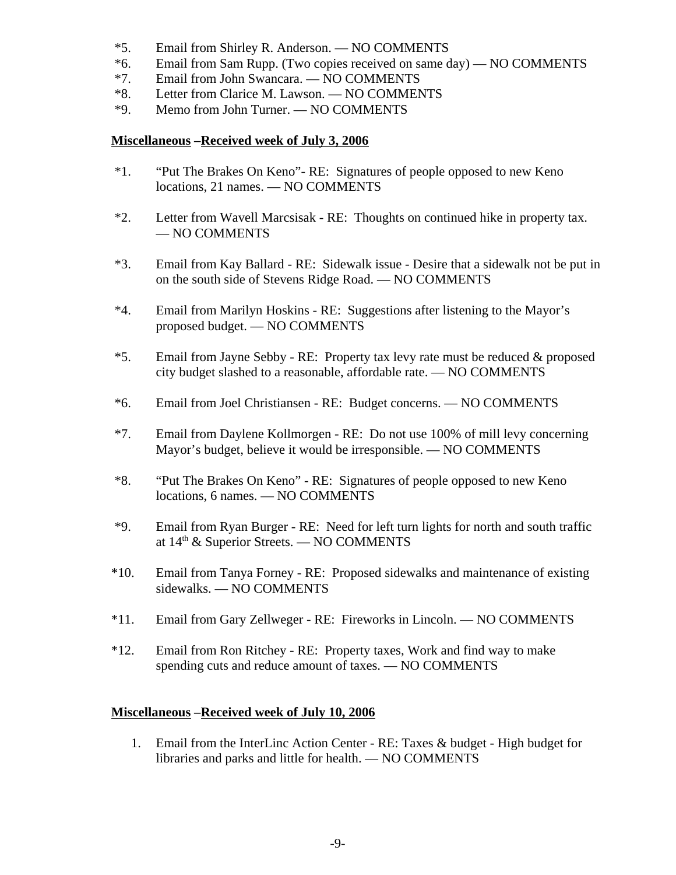- \*5. Email from Shirley R. Anderson. NO COMMENTS
- \*6. Email from Sam Rupp. (Two copies received on same day) NO COMMENTS
- \*7. Email from John Swancara. NO COMMENTS
- \*8. Letter from Clarice M. Lawson. NO COMMENTS
- \*9. Memo from John Turner. NO COMMENTS

#### **Miscellaneous –Received week of July 3, 2006**

- \*1. "Put The Brakes On Keno"- RE: Signatures of people opposed to new Keno locations, 21 names. — NO COMMENTS
- \*2. Letter from Wavell Marcsisak RE: Thoughts on continued hike in property tax. — NO COMMENTS
- \*3. Email from Kay Ballard RE: Sidewalk issue Desire that a sidewalk not be put in on the south side of Stevens Ridge Road. — NO COMMENTS
- \*4. Email from Marilyn Hoskins RE: Suggestions after listening to the Mayor's proposed budget. — NO COMMENTS
- \*5. Email from Jayne Sebby RE: Property tax levy rate must be reduced & proposed city budget slashed to a reasonable, affordable rate. — NO COMMENTS
- \*6. Email from Joel Christiansen RE: Budget concerns. NO COMMENTS
- \*7. Email from Daylene Kollmorgen RE: Do not use 100% of mill levy concerning Mayor's budget, believe it would be irresponsible. — NO COMMENTS
- \*8. "Put The Brakes On Keno" RE: Signatures of people opposed to new Keno locations, 6 names. — NO COMMENTS
- \*9. Email from Ryan Burger RE: Need for left turn lights for north and south traffic at  $14<sup>th</sup>$  & Superior Streets. — NO COMMENTS
- \*10. Email from Tanya Forney RE: Proposed sidewalks and maintenance of existing sidewalks. — NO COMMENTS
- \*11. Email from Gary Zellweger RE: Fireworks in Lincoln. NO COMMENTS
- \*12. Email from Ron Ritchey RE: Property taxes, Work and find way to make spending cuts and reduce amount of taxes. — NO COMMENTS

#### **Miscellaneous –Received week of July 10, 2006**

1. Email from the InterLinc Action Center - RE: Taxes & budget - High budget for libraries and parks and little for health. — NO COMMENTS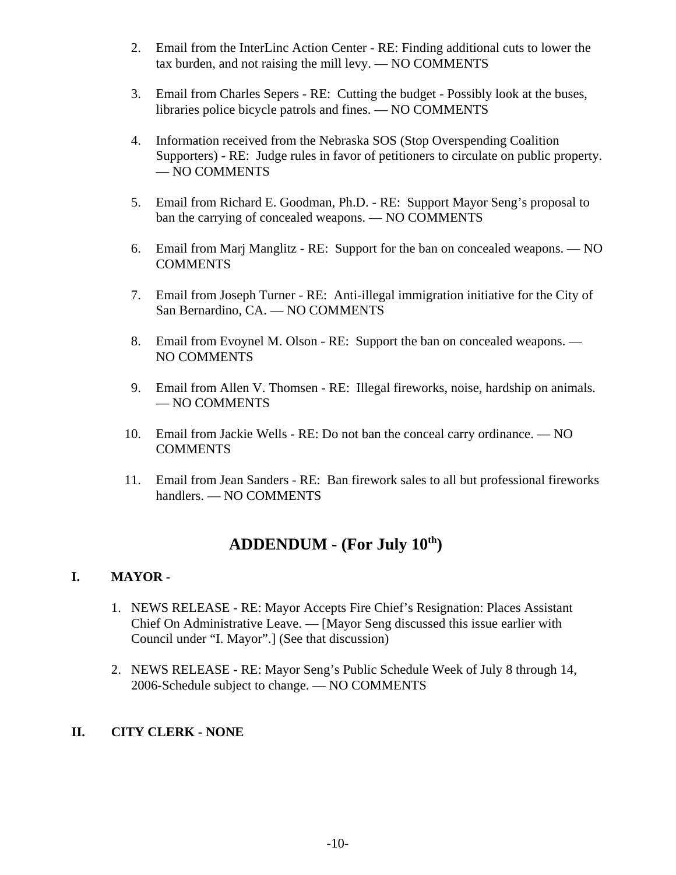- 2. Email from the InterLinc Action Center RE: Finding additional cuts to lower the tax burden, and not raising the mill levy. — NO COMMENTS
- 3. Email from Charles Sepers RE: Cutting the budget Possibly look at the buses, libraries police bicycle patrols and fines. — NO COMMENTS
- 4. Information received from the Nebraska SOS (Stop Overspending Coalition Supporters) - RE: Judge rules in favor of petitioners to circulate on public property. — NO COMMENTS
- 5. Email from Richard E. Goodman, Ph.D. RE: Support Mayor Seng's proposal to ban the carrying of concealed weapons. — NO COMMENTS
- 6. Email from Marj Manglitz RE: Support for the ban on concealed weapons. NO **COMMENTS**
- 7. Email from Joseph Turner RE: Anti-illegal immigration initiative for the City of San Bernardino, CA. — NO COMMENTS
- 8. Email from Evoynel M. Olson RE: Support the ban on concealed weapons. NO COMMENTS
- 9. Email from Allen V. Thomsen RE: Illegal fireworks, noise, hardship on animals. — NO COMMENTS
- 10. Email from Jackie Wells RE: Do not ban the conceal carry ordinance. NO **COMMENTS**
- 11. Email from Jean Sanders RE: Ban firework sales to all but professional fireworks handlers. — NO COMMENTS

# **ADDENDUM - (For July 10th)**

# **I. MAYOR -**

- 1. NEWS RELEASE RE: Mayor Accepts Fire Chief's Resignation: Places Assistant Chief On Administrative Leave. — [Mayor Seng discussed this issue earlier with Council under "I. Mayor".] (See that discussion)
- 2. NEWS RELEASE RE: Mayor Seng's Public Schedule Week of July 8 through 14, 2006-Schedule subject to change. — NO COMMENTS

# **II. CITY CLERK - NONE**